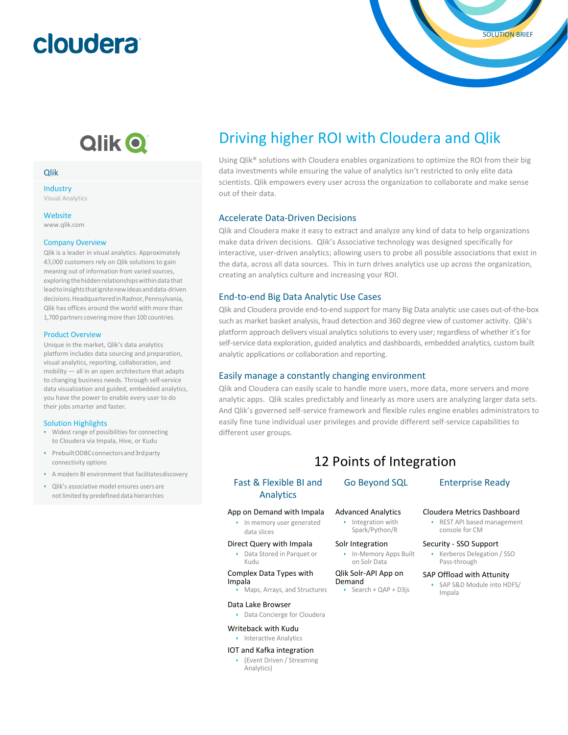# cloudera

## Qlik O

### Qlik

Industry Visual Analytics

**Website** 

[www.qlik.com](http://www.qlik.com/)

### Company Overview

Qlik is a leader in visual analytics. Approximately 43,000 customers rely on Qlik solutions to gain meaning out of information from varied sources, exploring the hidden relationships within data that lead to insights that ignite new ideas and data-driven decisions.HeadquarteredinRadnor,Pennsylvania, Qlik has offices around the world with more than 1,700 partners covering more than 100 countries.

### Product Overview

Unique in the market, Qlik's data analytics platform includes data sourcing and preparation, visual analytics, reporting, collaboration, and mobility — all in an open architecture that adapts to changing business needs. Through self-service data visualization and guided, embedded analytics, you have the power to enable every user to do their jobs smarter and faster.

### Solution Highlights

- Widest range of possibilities for connecting to Cloudera via Impala, Hive, or Kudu
- PrebuiltODBCconnectorsand3rdparty connectivity options
- A modern BI environment that facilitatesdiscovery
- Qlik's associative model ensures users are not limited by predefined data hierarchies

## Driving higher ROI with Cloudera and Qlik

Using Qlik® solutions with Cloudera enables organizations to optimize the ROI from their big data investments while ensuring the value of analytics isn't restricted to only elite data scientists. Qlik empowers every user across the organization to collaborate and make sense out of their data.

### Accelerate Data-Driven Decisions

Qlik and Cloudera make it easy to extract and analyze any kind of data to help organizations make data driven decisions. Qlik's Associative technology was designed specifically for interactive, user-driven analytics; allowing users to probe all possible associations that exist in the data, across all data sources. This in turn drives analytics use up across the organization, creating an analytics culture and increasing your ROI.

### End-to-end Big Data Analytic Use Cases

Qlik and Cloudera provide end-to-end support for many Big Data analytic use cases out-of-the-box such as market basket analysis, fraud detection and 360 degree view of customer activity. Qlik's platform approach delivers visual analytics solutions to every user; regardless of whether it's for self-service data exploration, guided analytics and dashboards, embedded analytics, custom built analytic applications or collaboration and reporting.

### Easily manage a constantly changing environment

Qlik and Cloudera can easily scale to handle more users, more data, more servers and more analytic apps. Qlik scales predictably and linearly as more users are analyzing larger data sets. And Qlik's governed self-service framework and flexible rules engine enables administrators to easily fine tune individual user privileges and provide different self-service capabilities to different user groups.

### 12 Points of Integration

### Fast & Flexible BI and Analytics

### App on Demand with Impala

- In memory user generated data slices
- Direct Query with Impala
	- Data Stored in Parquet or Kudu

### Complex Data Types with Impala

• Maps, Arrays, and Structures

### Data Lake Browser

- Data Concierge for Cloudera
- Writeback with Kudu

### • Interactive Analytics

### IOT and Kafka integration

• (Event Driven / Streaming Analytics)

### Advanced Analytics

• Integration with Spark/Python/R

### Solr Integration

• In-Memory Apps Built on Solr Data

### Qlik Solr-API App on Demand

• Search + QAP + D3js

SOLUTION BRIEF

### Cloudera Metrics Dashboard

• REST API based management console for CM

### Security - SSO Support

• Kerberos Delegation / SSO Pass-through

### SAP Offload with Attunity

• SAP S&D Module into HDFS/ Impala

Go Beyond SQL Enterprise Ready